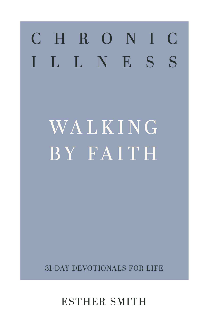# CHRONIC ILLNESS

WALKING

# BY FAITH

# 31-DAY DEVOTIONALS FOR LIFE

# ESTHER SMITH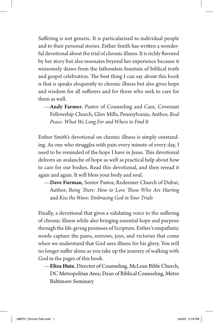Suffering is not generic. It is particularized to individual people and to their personal stories. Esther Smith has written a wonderful devotional about the trial of chronic illness. It is richly flavored by her story but also resonates beyond her experience because it winsomely draws from the fathomless fountain of biblical truth and gospel celebration. The best thing I can say about this book is that is speaks eloquently to chronic illness but also gives hope and wisdom for all sufferers and for those who seek to care for them as well.

—**Andy Farmer**, Pastor of Counseling and Care, Covenant Fellowship Church, Glen Mills, Pennsylvania; Author, *Real Peace: What We Long For and Where to Find It*

Esther Smith's devotional on chronic illness is simply outstanding. As one who struggles with pain every minute of every day, I need to be reminded of the hope I have in Jesus. This devotional delivers an avalanche of hope as well as practical help about how to care for our bodies. Read this devotional, and then reread it again and again. It will bless your body and soul.

—**Dave Furman**, Senior Pastor, Redeemer Church of Dubai; Author, *Being There: How to Love Those Who Are Hurting* and *Kiss the Wave: Embracing God in Your Trials*

Finally, a devotional that gives a validating voice to the suffering of chronic illness while also bringing essential hope and purpose through the life-giving promises of Scripture. Esther's empathetic words capture the pains, sorrows, joys, and victories that come when we understand that God uses illness for his glory. You will no longer suffer alone as you take up the journey of walking with God in the pages of this book.

—**Eliza Huie**, Director of Counseling, McLean Bible Church, DC Metropolitan Area; Dean of Biblical Counseling, Metro Baltimore Seminary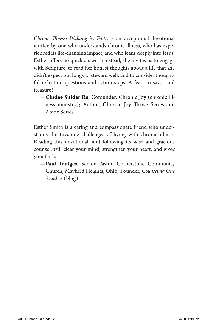*Chronic Illness: Walking by Faith* is an exceptional devotional written by one who understands chronic illness, who has experienced its life-changing impact, and who leans deeply into Jesus. Esther offers no quick answers; instead, she invites us to engage with Scripture, to read her honest thoughts about a life that she didn't expect but longs to steward well, and to consider thoughtful reflection questions and action steps. A feast to savor and treasure!

—**Cindee Snider Re**, Cofounder, Chronic Joy (chronic illness ministry); Author, Chronic Joy Thrive Series and Abide Series

Esther Smith is a caring and compassionate friend who understands the tiresome challenges of living with chronic illness. Reading this devotional, and following its wise and gracious counsel, will clear your mind, strengthen your heart, and grow your faith.

—**Paul Tautges**, Senior Pastor, Cornerstone Community Church, Mayfield Heights, Ohio; Founder, *Counseling One Another* (blog)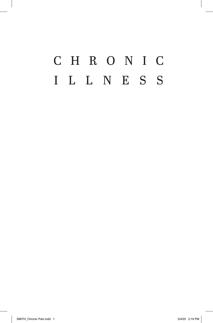## C H R O N I C ILLNESS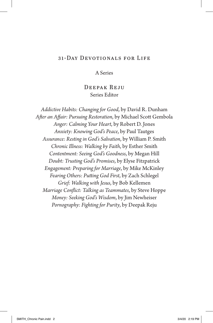#### 31-Day Devotionals for Life

A Series

#### Deepak Reju Series Editor

*Addictive Habits: Changing for Good*, by David R. Dunham *After an Affair: Pursuing Restoration*, by Michael Scott Gembola *Anger: Calming Your Heart*, by Robert D. Jones *Anxiety: Knowing God's Peace*, by Paul Tautges *Assurance: Resting in God's Salvation*, by William P. Smith *Chronic Illness: Walking by Faith*, by Esther Smith *Contentment: Seeing God's Goodness*, by Megan Hill *Doubt: Trusting God's Promises*, by Elyse Fitzpatrick *Engagement: Preparing for Marriage*, by Mike McKinley *Fearing Others: Putting God First*, by Zach Schlegel *Grief: Walking with Jesus*, by Bob Kellemen *Marriage Conflict: Talking as Teammates*, by Steve Hoppe *Money: Seeking God's Wisdom*, by Jim Newheiser *Pornography: Fighting for Purity*, by Deepak Reju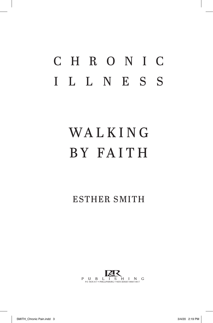### C H R O N I C ILLNESS

# **WALKING** BY FA I T H

ESTHER SMITH

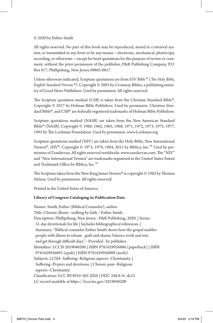#### © 2020 by Esther Smith

All rights reserved. No part of this book may be reproduced, stored in a retrieval system, or transmitted in any form or by any means—electronic, mechanical, photocopy, recording, or otherwise—except for brief quotations for the purpose of review or comment, without the prior permission of the publisher, P&R Publishing Company, P.O. Box 817, Phillipsburg, New Jersey 08865-0817.

Unless otherwise indicated, Scripture quotations are from *ESV Bible* ® (*The Holy Bible, English Standard Version* ®). Copyright © 2001 by Crossway Bibles, a publishing ministry of Good News Publishers. Used by permission. All rights reserved.

The Scripture quotation marked (CSB) is taken from the Christian Standard Bible®, Copyright © 2017 by Holman Bible Publishers. Used by permission. Christian Standard Bible®, and CSB® are federally registered trademarks of Holman Bible Publishers.

Scripture quotations marked (NASB) are taken from the New American Standard Bible® (NASB), Copyright © 1960, 1962, 1963, 1968, 1971, 1972, 1973, 1975, 1977, 1995 by The Lockman Foundation. Used by permission. www.Lockman.org

Scripture quotations marked (NIV) are taken from the Holy Bible, New International Version®, NIV®. Copyright © 1973, 1978, 1984, 2011 by Biblica, Inc.™ Used by permission of Zondervan. All rights reserved worldwide. www.zondervan.com. The "NIV" and "New International Version" are trademarks registered in the United States Patent and Trademark Office by Biblica, Inc.™

The Scripture taken from the New King James Version® is copyright © 1982 by Thomas Nelson. Used by permission. All rights reserved.

Printed in the United States of America

#### **Library of Congress Cataloging-in-Publication Data**

Names: Smith, Esther (Biblical Counselor), author. Title: Chronic illness : walking by faith / Esther Smith. Description: Phillipsburg, New Jersey : P&R Publishing, 2020. | Series: 31-day devotionals for life | Includes bibliographical references. | Summary: "Biblical counselor Esther Smith shows how the gospel enables people with illness to release guilt and shame, balance work and rest, and get through difficult days."-- Provided by publisher. Identifiers: LCCN 2019048200 | ISBN 9781629956886 (paperback) | ISBN 9781629956893 (epub) | ISBN 9781629956909 (mobi) Subjects: LCSH: Suffering--Religious aspects--Christianity. | Suffering--Prayers and devotions. | Chronic pain--Religious aspects--Christianity. Classification: LCC BV4910 .S65 2020 | DDC 248.8/6--dc23 LC record available at https://lccn.loc.gov/2019048200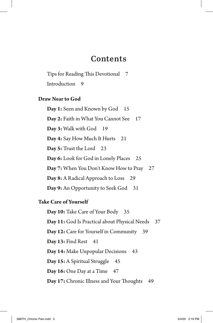#### **Contents**

Tips for Reading This Devotional 7 Introduction 9

#### **Draw Near to God**

**Day 1:** Seen and Known by God 15 Day 2: Faith in What You Cannot See 17 **Day 3:** Walk with God 19 **Day 4:** Say How Much It Hurts 21 **Day 5:** Trust the Lord 23 **Day 6:** Look for God in Lonely Places 25 **Day 7:** When You Don't Know How to Pray 27 **Day 8:** A Radical Approach to Loss 29 **Day 9:** An Opportunity to Seek God 31

#### **Take Care of Yourself**

**Day 10:** Take Care of Your Body 35 **Day 11:** God Is Practical about Physical Needs 37 **Day 12:** Care for Yourself in Community 39 **Day 13: Find Rest** 41 **Day 14:** Make Unpopular Decisions 43 Day 15: A Spiritual Struggle 45 **Day 16:** One Day at a Time 47 **Day 17:** Chronic Illness and Your Thoughts 49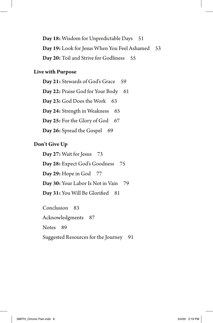Day 18: Wisdom for Unpredictable Days 51 **Day 19:** Look for Jesus When You Feel Ashamed 53 Day 20: Toil and Strive for Godliness 55

#### **Live with Purpose**

Day 21: Stewards of God's Grace 59 Day 22: Praise God for Your Body 61 **Day 23:** God Does the Work 63 Day 24: Strength in Weakness 65 **Day 25:** For the Glory of God 67 Day 26: Spread the Gospel 69

#### **Don't Give Up**

**Day 27:** Wait for Jesus 73 **Day 28:** Expect God's Goodness 75 **Day 29:** Hope in God 77 **Day 30:** Your Labor Is Not in Vain 79 Day 31: You Will Be Glorified 81 Conclusion 83

Acknowledgments 87 Notes 89 Suggested Resources for the Journey 91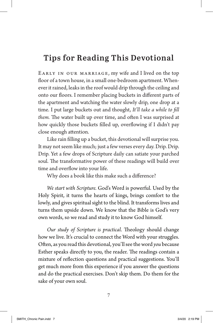#### **Tips for Reading This Devotional**

Early in our marriage, my wife and I lived on the top floor of a town house, in a small one-bedroom apartment. Whenever it rained, leaks in the roof would drip through the ceiling and onto our floors. I remember placing buckets in different parts of the apartment and watching the water slowly drip, one drop at a time. I put large buckets out and thought, *It'll take a while to fill them.* The water built up over time, and often I was surprised at how quickly those buckets filled up, overflowing if I didn't pay close enough attention.

Like rain filling up a bucket, this devotional will surprise you. It may not seem like much; just a few verses every day. Drip. Drip. Drip. Yet a few drops of Scripture daily can satiate your parched soul. The transformative power of these readings will build over time and overflow into your life.

Why does a book like this make such a difference?

*We start with Scripture.* God's Word is powerful. Used by the Holy Spirit, it turns the hearts of kings, brings comfort to the lowly, and gives spiritual sight to the blind. It transforms lives and turns them upside down. We know that the Bible is God's very own words, so we read and study it to know God himself.

*Our study of Scripture is practical*. Theology should change how we live. It's crucial to connect the Word with your struggles. Often, as you read this devotional, you'll see the word *you* because Esther speaks directly to you, the reader. The readings contain a mixture of reflection questions and practical suggestions. You'll get much more from this experience if you answer the questions and do the practical exercises. Don't skip them. Do them for the sake of your own soul.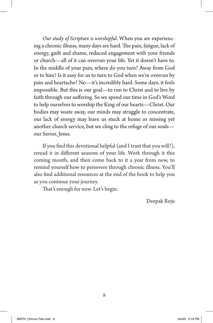*Our study of Scripture is worshipful*. When you are experiencing a chronic illness, many days are hard. The pain, fatigue, lack of energy, guilt and shame, reduced engagement with your friends or church—all of it can overrun your life. Yet it doesn't have to. In the middle of your pain, where do you turn? Away from God or to him? Is it easy for us to turn to God when we're overrun by pain and heartache? No—it's incredibly hard. Some days, it feels impossible. But this is our goal—to run to Christ and to live by faith through our suffering. So we spend our time in God's Word to help ourselves to worship the King of our hearts—Christ. Our bodies may waste away, our minds may struggle to concentrate, our lack of energy may leave us stuck at home or missing yet another church service, but we cling to the refuge of our souls our Savior, Jesus.

If you find this devotional helpful (and I trust that you will!), reread it in different seasons of your life. Work through it this coming month, and then come back to it a year from now, to remind yourself how to persevere through chronic illness. You'll also find additional resources at the end of the book to help you as you continue your journey.

That's enough for now. Let's begin.

Deepak Reju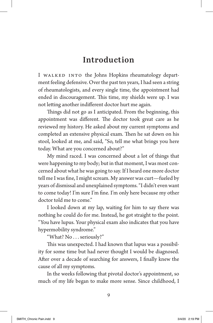#### **Introduction**

I WALKED INTO the Johns Hopkins rheumatology department feeling defensive. Over the past ten years, I had seen a string of rheumatologists, and every single time, the appointment had ended in discouragement. This time, my shields were up. I was not letting another indifferent doctor hurt me again.

Things did not go as I anticipated. From the beginning, this appointment was different. The doctor took great care as he reviewed my history. He asked about my current symptoms and completed an extensive physical exam. Then he sat down on his stool, looked at me, and said, "So, tell me what brings you here today. What are you concerned about?"

My mind raced. I was concerned about a lot of things that were happening to my body; but in that moment, I was most concerned about what he was going to say. If I heard one more doctor tell me I was fine, I might scream. My answer was curt—fueled by years of dismissal and unexplained symptoms. "I didn't even want to come today! I'm sure I'm fine. I'm only here because my other doctor told me to come."

I looked down at my lap, waiting for him to say there was nothing he could do for me. Instead, he got straight to the point. "You have lupus. Your physical exam also indicates that you have hypermobility syndrome."

"What? No . . . seriously?"

This was unexpected. I had known that lupus was a possibility for some time but had never thought I would be diagnosed. After over a decade of searching for answers, I finally knew the cause of all my symptoms.

In the weeks following that pivotal doctor's appointment, so much of my life began to make more sense. Since childhood, I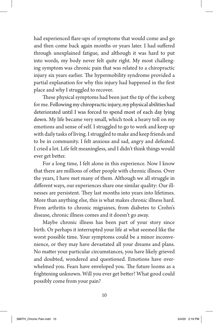had experienced flare-ups of symptoms that would come and go and then come back again months or years later. I had suffered through unexplained fatigue, and although it was hard to put into words, my body never felt quite right. My most challenging symptom was chronic pain that was related to a chiropractic injury six years earlier. The hypermobility syndrome provided a partial explanation for why this injury had happened in the first place and why I struggled to recover.

These physical symptoms had been just the tip of the iceberg for me. Following my chiropractic injury, my physical abilities had deteriorated until I was forced to spend most of each day lying down. My life became very small, which took a heavy toll on my emotions and sense of self. I struggled to go to work and keep up with daily tasks of living. I struggled to make and keep friends and to be in community. I felt anxious and sad, angry and defeated. I cried a lot. Life felt meaningless, and I didn't think things would ever get better.

For a long time, I felt alone in this experience. Now I know that there are millions of other people with chronic illness. Over the years, I have met many of them. Although we all struggle in different ways, our experiences share one similar quality: Our illnesses are persistent. They last months into years into lifetimes. More than anything else, this is what makes chronic illness hard. From arthritis to chronic migraines, from diabetes to Crohn's disease, chronic illness comes and it doesn't go away.

Maybe chronic illness has been part of your story since birth. Or perhaps it interrupted your life at what seemed like the worst possible time. Your symptoms could be a minor inconvenience, or they may have devastated all your dreams and plans. No matter your particular circumstances, you have likely grieved and doubted, wondered and questioned. Emotions have overwhelmed you. Fears have enveloped you. The future looms as a frightening unknown. Will you ever get better? What good could possibly come from your pain?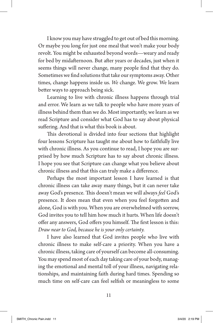I know you may have struggled to get out of bed this morning. Or maybe you long for just one meal that won't make your body revolt. You might be exhausted beyond words—weary and ready for bed by midafternoon. But after years or decades, just when it seems things will never change, many people find that they do. Sometimes we find solutions that take our symptoms away. Other times, change happens inside us. *We* change. We grow. We learn better ways to approach being sick.

Learning to live with chronic illness happens through trial and error. We learn as we talk to people who have more years of illness behind them than we do. Most importantly, we learn as we read Scripture and consider what God has to say about physical suffering. And that is what this book is about.

This devotional is divided into four sections that highlight four lessons Scripture has taught me about how to faithfully live with chronic illness. As you continue to read, I hope you are surprised by how much Scripture has to say about chronic illness. I hope you see that Scripture can change what you believe about chronic illness and that this can truly make a difference.

Perhaps the most important lesson I have learned is that chronic illness can take away many things, but it can never take away God's presence. This doesn't mean we will always *feel* God's presence. It does mean that even when you feel forgotten and alone, God is with you. When you are overwhelmed with sorrow, God invites you to tell him how much it hurts. When life doesn't offer any answers, God offers you himself. The first lesson is this: *Draw near to God, because he is your only certainty.*

I have also learned that God invites people who live with chronic illness to make self-care a priority. When you have a chronic illness, taking care of yourself can become all-consuming. You may spend most of each day taking care of your body, managing the emotional and mental toll of your illness, navigating relationships, and maintaining faith during hard times. Spending so much time on self-care can feel selfish or meaningless to some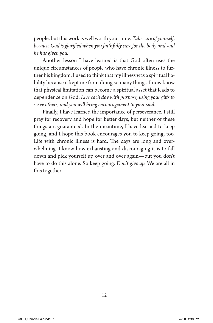people, but this work is well worth your time. *Take care of yourself, because God is glorified when you faithfully care for the body and soul he has given you.*

Another lesson I have learned is that God often uses the unique circumstances of people who have chronic illness to further his kingdom. I used to think that my illness was a spiritual liability because it kept me from doing so many things. I now know that physical limitation can become a spiritual asset that leads to dependence on God. *Live each day with purpose, using your gifts to serve others, and you will bring encouragement to your soul.* 

Finally, I have learned the importance of perseverance. I still pray for recovery and hope for better days, but neither of these things are guaranteed. In the meantime, I have learned to keep going, and I hope this book encourages you to keep going, too. Life with chronic illness is hard. The days are long and overwhelming. I know how exhausting and discouraging it is to fall down and pick yourself up over and over again—but you don't have to do this alone. So keep going. *Don't give up.* We are all in this together.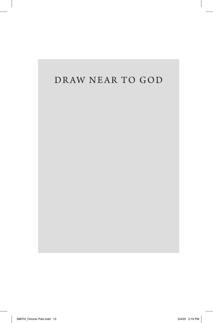#### DRAW NEAR TO GOD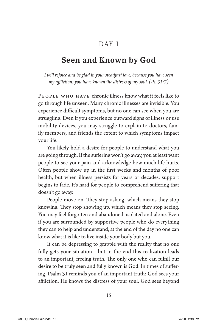#### DAY 1

#### **Seen and Known by God**

*I will rejoice and be glad in your steadfast love, because you have seen my affliction; you have known the distress of my soul. (Ps. 31:7)*

People who have chronic illness know what it feels like to go through life unseen. Many chronic illnesses are invisible. You experience difficult symptoms, but no one can see when you are struggling. Even if you experience outward signs of illness or use mobility devices, you may struggle to explain to doctors, family members, and friends the extent to which symptoms impact your life.

You likely hold a desire for people to understand what you are going through. If the suffering won't go away, you at least want people to see your pain and acknowledge how much life hurts. Often people show up in the first weeks and months of poor health, but when illness persists for years or decades, support begins to fade. It's hard for people to comprehend suffering that doesn't go away.

People move on. They stop asking, which means they stop knowing. They stop showing up, which means they stop seeing. You may feel forgotten and abandoned, isolated and alone. Even if you are surrounded by supportive people who do everything they can to help and understand, at the end of the day no one can know what it is like to live inside your body but you.

It can be depressing to grapple with the reality that no one fully gets your situation—but in the end this realization leads to an important, freeing truth. The only one who can fulfill our desire to be truly seen and fully known is God. In times of suffering, Psalm 31 reminds you of an important truth: God sees your affliction. He knows the distress of your soul. God sees beyond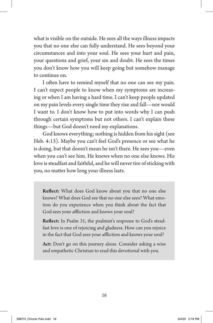what is visible on the outside. He sees all the ways illness impacts you that no one else can fully understand. He sees beyond your circumstances and into your soul. He sees your hurt and pain, your questions and grief, your sin and doubt. He sees the times you don't know how you will keep going but somehow manage to continue on.

I often have to remind myself that no one can see my pain. I can't expect people to know when my symptoms are increasing or when I am having a hard time. I can't keep people updated on my pain levels every single time they rise and fall—nor would I want to. I don't know how to put into words why I can push through certain symptoms but not others. I can't explain these things—but God doesn't need my explanations.

God knows everything; nothing is hidden from his sight (see Heb. 4:13). Maybe you can't feel God's presence or see what he is doing, but that doesn't mean he isn't there. He sees you—even when you can't see him. He knows when no one else knows. His love is steadfast and faithful, and he will never tire of sticking with you, no matter how long your illness lasts.

**Reflect:** What does God know about you that no one else knows? What does God see that no one else sees? What emotion do you experience when you think about the fact that God sees your affliction and knows your soul?

**Reflect:** In Psalm 31, the psalmist's response to God's steadfast love is one of rejoicing and gladness. How can you rejoice in the fact that God sees your affliction and knows your soul?

**Act:** Don't go on this journey alone. Consider asking a wise and empathetic Christian to read this devotional with you.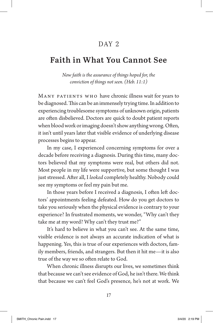#### DAY<sub>2</sub>

#### **Faith in What You Cannot See**

*Now faith is the assurance of things hoped for, the conviction of things not seen. (Heb. 11:1)*

Many patients who have chronic illness wait for years to be diagnosed. This can be an immensely trying time. In addition to experiencing troublesome symptoms of unknown origin, patients are often disbelieved. Doctors are quick to doubt patient reports when blood work or imaging doesn't show anything wrong. Often, it isn't until years later that visible evidence of underlying disease processes begins to appear.

In my case, I experienced concerning symptoms for over a decade before receiving a diagnosis. During this time, many doctors believed that my symptoms were real, but others did not. Most people in my life were supportive, but some thought I was just stressed. After all, I *looked* completely healthy. Nobody could see my symptoms or feel my pain but me.

In those years before I received a diagnosis, I often left doctors' appointments feeling defeated. How do you get doctors to take you seriously when the physical evidence is contrary to your experience? In frustrated moments, we wonder, "Why can't they take me at my word? Why can't they trust me?"

It's hard to believe in what you can't see. At the same time, visible evidence is not always an accurate indication of what is happening. Yes, this is true of our experiences with doctors, family members, friends, and strangers. But then it hit me—it is also true of the way we so often relate to God.

When chronic illness disrupts our lives, we sometimes think that because we can't see evidence of God, he isn't there. We think that because we can't feel God's presence, he's not at work. We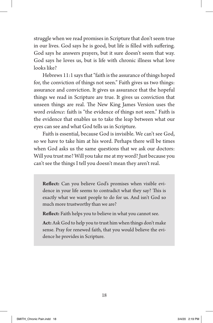struggle when we read promises in Scripture that don't seem true in our lives. God says he is good, but life is filled with suffering. God says he answers prayers, but it sure doesn't seem that way. God says he loves us, but is life with chronic illness what love looks like?

Hebrews 11:1 says that "faith is the assurance of things hoped for, the conviction of things not seen." Faith gives us two things: assurance and conviction. It gives us assurance that the hopeful things we read in Scripture are true. It gives us conviction that unseen things are real. The New King James Version uses the word *evidence*: faith is "the evidence of things not seen." Faith is the evidence that enables us to take the leap between what our eyes can see and what God tells us in Scripture.

Faith is essential, because God is invisible. We can't see God, so we have to take him at his word. Perhaps there will be times when God asks us the same questions that we ask our doctors: Will you trust me? Will you take me at my word? Just because you can't see the things I tell you doesn't mean they aren't real.

**Reflect:** Can you believe God's promises when visible evidence in your life seems to contradict what they say? This is exactly what we want people to do for us. And isn't God so much more trustworthy than we are?

**Reflect:** Faith helps you to believe in what you cannot see.

**Act:** Ask God to help you to trust him when things don't make sense. Pray for renewed faith, that you would believe the evidence he provides in Scripture.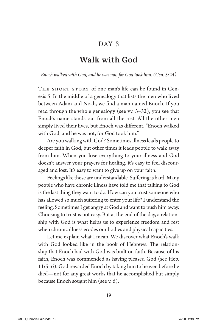#### DAY 3

#### **Walk with God**

*Enoch walked with God, and he was not, for God took him. (Gen. 5:24)*

THE SHORT STORY of one man's life can be found in Genesis 5. In the middle of a genealogy that lists the men who lived between Adam and Noah, we find a man named Enoch. If you read through the whole genealogy (see vv. 3–32), you see that Enoch's name stands out from all the rest. All the other men simply lived their lives, but Enoch was different. "Enoch walked with God, and he was not, for God took him."

Are you walking with God? Sometimes illness leads people to deeper faith in God, but other times it leads people to walk away from him. When you lose everything to your illness and God doesn't answer your prayers for healing, it's easy to feel discouraged and lost. It's easy to want to give up on your faith.

Feelings like these are understandable. Suffering is hard. Many people who have chronic illness have told me that talking to God is the last thing they want to do. How can you trust someone who has allowed so much suffering to enter your life? I understand the feeling. Sometimes I get angry at God and want to push him away. Choosing to trust is not easy. But at the end of the day, a relationship with God is what helps us to experience freedom and rest when chronic illness erodes our bodies and physical capacities.

Let me explain what I mean. We discover what Enoch's walk with God looked like in the book of Hebrews. The relationship that Enoch had with God was built on faith. Because of his faith, Enoch was commended as having pleased God (see Heb. 11:5–6). God rewarded Enoch by taking him to heaven before he died—not for any great works that he accomplished but simply because Enoch sought him (see v. 6).